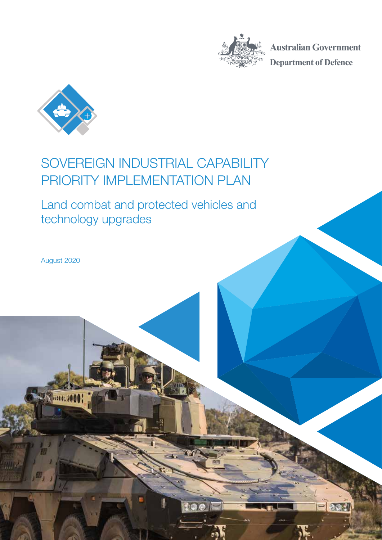

**Australian Government**

acxy

**Department of Defence**



# SOVEREIGN INDUSTRIAL CAPABILITY PRIORITY IMPLEMENTATION PLAN

Land combat and protected vehicles and technology upgrades

100

August 2020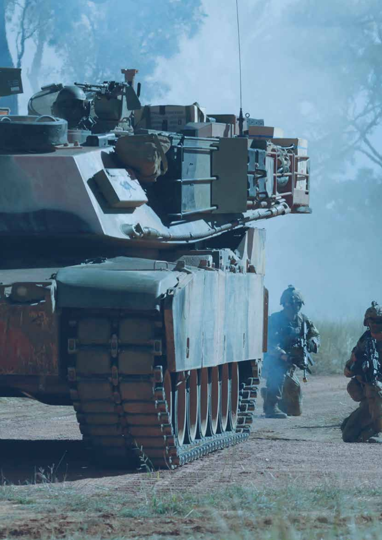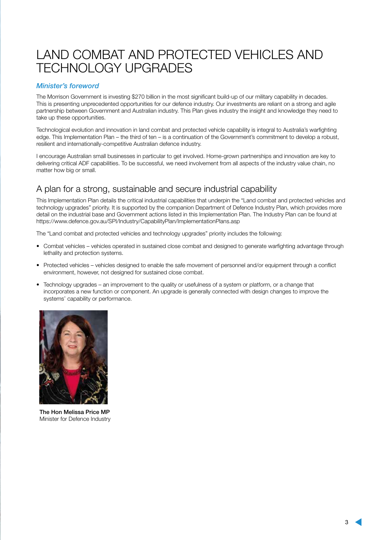# LAND COMBAT AND PROTECTED VEHICLES AND TECHNOLOGY UPGRADES

### *Minister's foreword*

The Morrison Government is investing \$270 billion in the most significant build-up of our military capability in decades. This is presenting unprecedented opportunities for our defence industry. Our investments are reliant on a strong and agile partnership between Government and Australian industry. This Plan gives industry the insight and knowledge they need to take up these opportunities.

Technological evolution and innovation in land combat and protected vehicle capability is integral to Australia's warfighting edge. This Implementation Plan – the third of ten – is a continuation of the Government's commitment to develop a robust, resilient and internationally-competitive Australian defence industry.

I encourage Australian small businesses in particular to get involved. Home-grown partnerships and innovation are key to delivering critical ADF capabilities. To be successful, we need involvement from all aspects of the industry value chain, no matter how big or small.

## A plan for a strong, sustainable and secure industrial capability

This Implementation Plan details the critical industrial capabilities that underpin the "Land combat and protected vehicles and technology upgrades" priority. It is supported by the companion Department of Defence Industry Plan, which provides more detail on the industrial base and Government actions listed in this Implementation Plan. The Industry Plan can be found at https://www.defence.gov.au/SPI/Industry/CapabilityPlan/ImplementationPlans.asp

The "Land combat and protected vehicles and technology upgrades" priority includes the following:

- Combat vehicles vehicles operated in sustained close combat and designed to generate warfighting advantage through lethality and protection systems.
- Protected vehicles vehicles designed to enable the safe movement of personnel and/or equipment through a conflict environment, however, not designed for sustained close combat.
- Technology upgrades an improvement to the quality or usefulness of a system or platform, or a change that incorporates a new function or component. An upgrade is generally connected with design changes to improve the systems' capability or performance.



 The Hon Melissa Price MP Minister for Defence Industry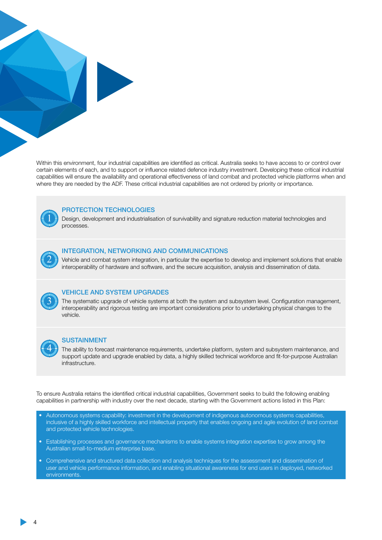

Within this environment, four industrial capabilities are identified as critical. Australia seeks to have access to or control over certain elements of each, and to support or influence related defence industry investment. Developing these critical industrial capabilities will ensure the availability and operational effectiveness of land combat and protected vehicle platforms when and where they are needed by the ADF. These critical industrial capabilities are not ordered by priority or importance.

### PROTECTION TECHNOLOGIES

Design, development and industrialisation of survivability and signature reduction material technologies and processes.

#### INTEGRATION, NETWORKING AND COMMUNICATIONS

Vehicle and combat system integration, in particular the expertise to develop and implement solutions that enable interoperability of hardware and software, and the secure acquisition, analysis and dissemination of data.



2

1

#### VEHICLE AND SYSTEM UPGRADES

The systematic upgrade of vehicle systems at both the system and subsystem level. Configuration management, interoperability and rigorous testing are important considerations prior to undertaking physical changes to the vehicle.



#### SUSTAINMENT

The ability to forecast maintenance requirements, undertake platform, system and subsystem maintenance, and support update and upgrade enabled by data, a highly skilled technical workforce and fit-for-purpose Australian infrastructure.

To ensure Australia retains the identified critical industrial capabilities, Government seeks to build the following enabling capabilities in partnership with industry over the next decade, starting with the Government actions listed in this Plan:

- Autonomous systems capability: investment in the development of indigenous autonomous systems capabilities, inclusive of a highly skilled workforce and intellectual property that enables ongoing and agile evolution of land combat and protected vehicle technologies.
- Establishing processes and governance mechanisms to enable systems integration expertise to grow among the Australian small-to-medium enterprise base.
- Comprehensive and structured data collection and analysis techniques for the assessment and dissemination of user and vehicle performance information, and enabling situational awareness for end users in deployed, networked environments.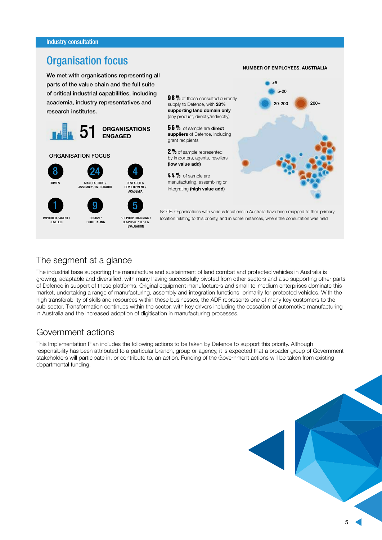# Organisation focus

We met with organisations representing all parts of the value chain and the full suite of critical industrial capabilities, including academia, industry representatives and research institutes.



#### NUMBER OF EMPLOYEES, AUSTRALIA



NOTE: Organisations with various locations in Australia have been mapped to their primary location relating to this priority, and in some instances, where the consultation was held

## The segment at a glance

The industrial base supporting the manufacture and sustainment of land combat and protected vehicles in Australia is growing, adaptable and diversified, with many having successfully pivoted from other sectors and also supporting other parts of Defence in support of these platforms. Original equipment manufacturers and small-to-medium enterprises dominate this market, undertaking a range of manufacturing, assembly and integration functions; primarily for protected vehicles. With the high transferability of skills and resources within these businesses, the ADF represents one of many key customers to the sub-sector. Transformation continues within the sector, with key drivers including the cessation of automotive manufacturing in Australia and the increased adoption of digitisation in manufacturing processes.

## Government actions

This Implementation Plan includes the following actions to be taken by Defence to support this priority. Although responsibility has been attributed to a particular branch, group or agency, it is expected that a broader group of Government stakeholders will participate in, or contribute to, an action. Funding of the Government actions will be taken from existing departmental funding.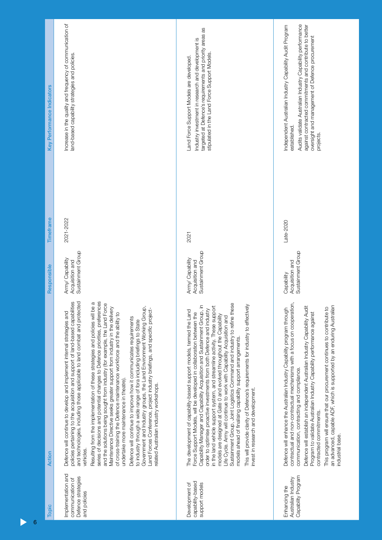| Topic                                                                        | Action                                                                                                                                                                                                                                                                                                                                                                                                                                                                                                                                                                                                                                                                                                                                                                                                                                                                                                                                                                                                                                       | Responsible                                             | Timeframe | Key Performance Indicators                                                                                                                                                                                                                                        |
|------------------------------------------------------------------------------|----------------------------------------------------------------------------------------------------------------------------------------------------------------------------------------------------------------------------------------------------------------------------------------------------------------------------------------------------------------------------------------------------------------------------------------------------------------------------------------------------------------------------------------------------------------------------------------------------------------------------------------------------------------------------------------------------------------------------------------------------------------------------------------------------------------------------------------------------------------------------------------------------------------------------------------------------------------------------------------------------------------------------------------------|---------------------------------------------------------|-----------|-------------------------------------------------------------------------------------------------------------------------------------------------------------------------------------------------------------------------------------------------------------------|
| Implementation and<br>Defence strategies<br>communication of<br>and policies | series of decisions and potential changes to Defence priorities, preferences<br>and technologies, including those applicable to land combat and protected<br>policies pertaining to the acquisition and support of land-based capabilities<br>Resulting from the implementation of these strategies and policies will be a<br>and the solutions being sought from industry (for example, the Land Force<br>Maintenance Directive seeks greater support from industry in the delivery<br>Government and Industry groups, the Land Environment Working Group,<br>Land Forces Conference, project industry briefings, and specific project-<br>Defence will continue to develop and implement internal strategies and<br>of cross-training the Defence maintenance workforce and the ability to<br>Defence will continue to improve how it communicates requirements<br>to industry through a wide range of fora including briefings to State<br>undertake more maintenance in theatre).<br>related Australian industry workshops.<br>vehicles. | Sustainment Group<br>Army/Capability<br>Acquisition and | 2021-2022 | Increase in the quality and frequency of communication of<br>land-based capability strategies and policies.                                                                                                                                                       |
| capability-based<br>Development of<br>support models                         | Sustainment Group, Joint Logistics Command and industry to refine these<br>This will provide clarity of Defence's requirements for industry to effectively<br>Capability Manager and Capability Acquisition and Sustainment Group, in<br>in the land vehicle support system, and streamline activity. These support<br>order to optimise proactive investments from both Defence and industry<br>The development of capability-based support models, termed the Land<br>Force Support Models, will be developed in collaboration between the<br>models are designed at Gate 0 and evolved throughout the Capability<br>Life Cycle. Army will continue to work with Capability Acquisition and<br>models ahead of finalising capability support arrangements.<br>invest in research and development.                                                                                                                                                                                                                                          | Sustainment Group<br>Army/Capability<br>Acquisition and | 2021      | targeted at Defence's requirements and priority areas as<br>Industry investment in research and development is<br>stipulated in the Land Force Support Models.<br>Land Force Support Models are developed.                                                        |
| Capability Program<br>Australian Industry<br>Enhancing the                   | contractual and non-contractual mechanisms with a focus on cooperation<br>an advanced, capable ADF, which is supported by an enduring Australian<br>Defence will establish an independent Australian Industry Capability Audit<br>This program will ensure that our procurement continues to contribute to<br>Defence will enhance the Australian Industry Capability program through<br>Program to validate Australian Industry Capability performance against<br>communication, contracting and compliance.<br>contracted commitments.<br>industrial base.                                                                                                                                                                                                                                                                                                                                                                                                                                                                                 | Sustainment Group<br>Acquisition and<br>Capability      | Late-2020 | Audits validate Australian Industry Capability performance<br>against contracted commitments and contribute to better<br>Independent Australian Industry Capability Audit Program<br>oversight and management of Defence procurement<br>established.<br>projects. |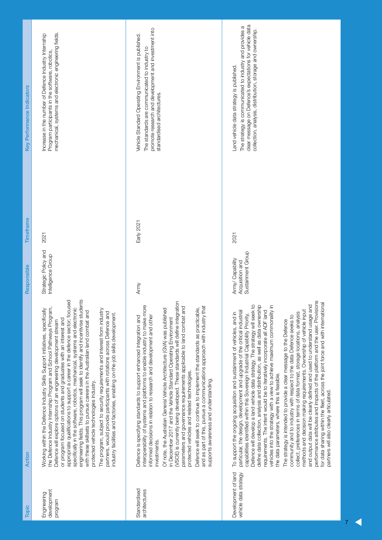| Topic                                        | Action                                                                                                                                                                                                                                                                                                                                                                                                                                                                                                                                                                                                                                                                                                                                                                                                                                                                                                                                                                                                                                                                                                                                                                                                                 | Responsible                                             | Timeframe  | Key Performance Indicators                                                                                                                                                                                                    |
|----------------------------------------------|------------------------------------------------------------------------------------------------------------------------------------------------------------------------------------------------------------------------------------------------------------------------------------------------------------------------------------------------------------------------------------------------------------------------------------------------------------------------------------------------------------------------------------------------------------------------------------------------------------------------------------------------------------------------------------------------------------------------------------------------------------------------------------------------------------------------------------------------------------------------------------------------------------------------------------------------------------------------------------------------------------------------------------------------------------------------------------------------------------------------------------------------------------------------------------------------------------------------|---------------------------------------------------------|------------|-------------------------------------------------------------------------------------------------------------------------------------------------------------------------------------------------------------------------------|
| development<br>Engineering<br>program        | engineering fields. This program will seek to identify and incentivise students<br>appropriate qualifications to support a career in the defence sector; focused<br>the Defence Industry Internship Program and School Pathways Program,<br>Working within the Defence Industry Skills Support initiatives, specifically<br>specifically in the software, robotics, mechanical, systems and electronic<br>The program, subject to security requirements and interest from industry<br>with these skillsets to pursue careers in the Australian land combat and<br>partners, would provide participants with rotations across Defence and<br>industry facilities and factories, enabling on-the-job skills development.<br>or program focused on students and graduates with an interest and<br>Defence will explore options of an engineering development stream<br>protected vehicle technologies industry.                                                                                                                                                                                                                                                                                                           | Strategic Policy and<br>Intelligence Group              | 2021       | mechanical, systems and electronic engineering fields.<br>Increase in the number of Defence Industry Internship<br>Program participants in the software, robotics,                                                            |
| Standardised<br>architectures                | (VSOE) is currently being developed. These standards will define integration<br>interoperability of systems and platforms to enable industry to make more<br>parameters and governance requirements applicable to land combat and<br>Defence will seek to continue to implement the standards as practicable,<br>and as part of this, pursue a communications approach with industry that<br>Of note, the Australian General Vehicle Architecture (GVA) was published<br>informed decisions in relation to research and development and other<br>Defence is specifying standards to support enhanced integration and<br>in December 2017 and the Vehicle Standard Operating Environment<br>protected vehicles and related technologies.<br>supports awareness and understanding.<br>investments.                                                                                                                                                                                                                                                                                                                                                                                                                       | Army                                                    | Early 2021 | promote research and development and investment into<br>Vehicle Standard Operating Environment is published.<br>The standards are communicated to industry to<br>standardised architectures.                                  |
| Development of land<br>vehicle data strategy | performance attributes and impacts of the platform and the user. Provisions<br>for data sharing within the fleet, across the joint force and with international<br>and output data will be clearly defined and used to understand usage and<br>Defence will develop a land vehicle data strategy. The strategy will seek to<br>define data collection, analysis and distribution, as well as data ownership<br>$\subseteq$<br>methods and decision making requirements. Ownership of vehicle input<br>particular, the design, development and upgrade of the critical industrial<br>requirements. The intent would be to iteratively incorporate all ADF land<br>vehicles into the strategy with a view to achieve maximum commonality<br>collect, preferences in terms of data format, storage locations, analysis<br>To support the ongoing acquisition and sustainment of vehicles, and in<br>capabilities identified within this Sovereign Industrial Capability Priority,<br>community and to industry with respect to the data Defence seeks to<br>The strategy is intended to provide a clear message to the Defence<br>the data parameters, where this is feasible.<br>partners will also clearly articulated. | Sustainment Group<br>Army/Capability<br>Acquisition and | 2021       | clear message on Defence's expectations for vehicle data<br>The strategy is communicated to industry and provides a<br>collection, analysis, distribution, storage and ownership.<br>Land vehicle data strategy is published. |